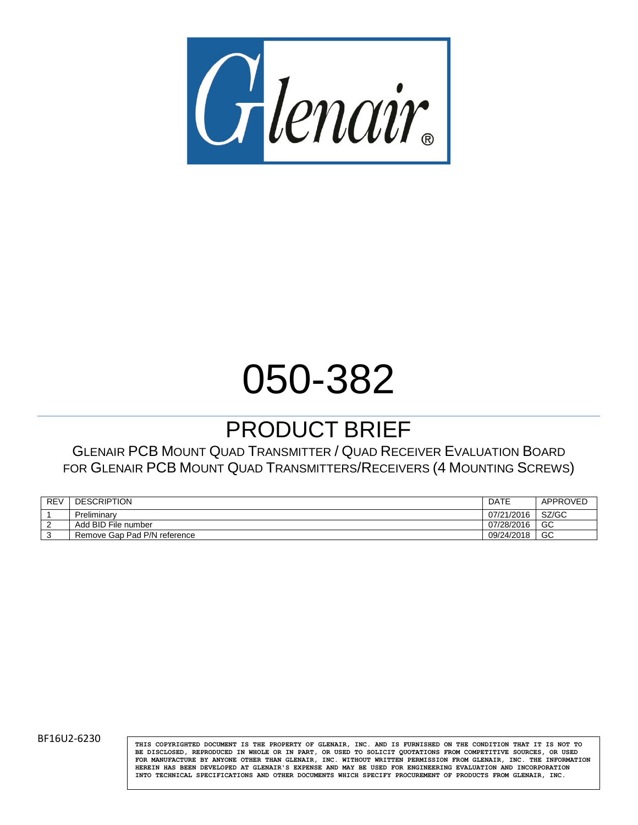

# 050-382

# PRODUCT BRIEF

GLENAIR PCB MOUNT QUAD TRANSMITTER / QUAD RECEIVER EVALUATION BOARD FOR GLENAIR PCB MOUNT QUAD TRANSMITTERS/RECEIVERS (4 MOUNTING SCREWS)

| <b>REV</b> | <b>DESCRIPTION</b>           | DATE       | APPROVED |
|------------|------------------------------|------------|----------|
|            | Preliminary                  | 07/21/2016 | SZ/GC    |
| L          | Add BID File number          | 07/28/2016 | GC       |
|            | Remove Gap Pad P/N reference | 09/24/2018 | GC       |

BF16U2-6230 **THIS COPYRIGHTED DOCUMENT IS THE PROPERTY** OF GLENAIR, INC. AND IS FURNISHED ON THE CONDITION THAT IT IS NOT TO **BE DISCLOSED, REPRODUCED IN WHOLE OR IN PART, OR USED TO SOLICIT QUOTATIONS FROM COMPETITIVE SOURCES, OR USED FOR MANUFACTURE BY ANYONE OTHER THAN GLENAIR, INC. WITHOUT WRITTEN PERMISSION FROM GLENAIR, INC. THE INFORMATION HEREIN HAS BEEN DEVELOPED AT GLENAIR'S EXPENSE AND MAY BE USED FOR ENGINEERING EVALUATION AND INCORPORATION INTO TECHNICAL SPECIFICATIONS AND OTHER DOCUMENTS WHICH SPECIFY PROCUREMENT OF PRODUCTS FROM GLENAIR, INC.**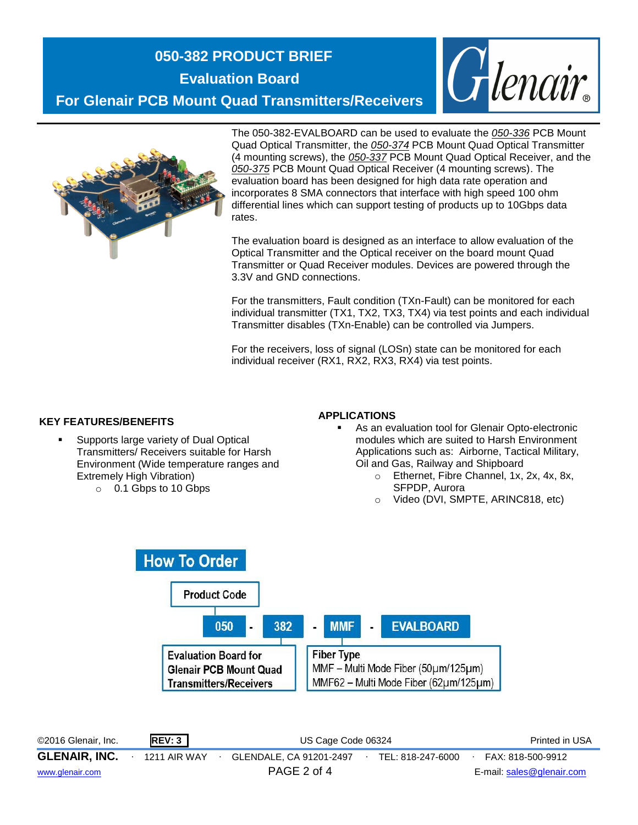# **050-382 PRODUCT BRIEF**

**Evaluation Board**

Glenair. **For Glenair PCB Mount Quad Transmitters/Receivers**



The 050-382-EVALBOARD can be used to evaluate the *050-336* PCB Mount Quad Optical Transmitter, the *050-374* PCB Mount Quad Optical Transmitter (4 mounting screws), the *050-337* PCB Mount Quad Optical Receiver, and the *050-375* PCB Mount Quad Optical Receiver (4 mounting screws). The evaluation board has been designed for high data rate operation and incorporates 8 SMA connectors that interface with high speed 100 ohm differential lines which can support testing of products up to 10Gbps data rates.

The evaluation board is designed as an interface to allow evaluation of the Optical Transmitter and the Optical receiver on the board mount Quad Transmitter or Quad Receiver modules. Devices are powered through the 3.3V and GND connections.

For the transmitters, Fault condition (TXn-Fault) can be monitored for each individual transmitter (TX1, TX2, TX3, TX4) via test points and each individual Transmitter disables (TXn-Enable) can be controlled via Jumpers.

For the receivers, loss of signal (LOSn) state can be monitored for each individual receiver (RX1, RX2, RX3, RX4) via test points.

#### **KEY FEATURES/BENEFITS**

- Supports large variety of Dual Optical Transmitters/ Receivers suitable for Harsh Environment (Wide temperature ranges and Extremely High Vibration)
	- o 0.1 Gbps to 10 Gbps

#### **APPLICATIONS**

- As an evaluation tool for Glenair Opto-electronic modules which are suited to Harsh Environment Applications such as: Airborne, Tactical Military, Oil and Gas, Railway and Shipboard
	- o Ethernet, Fibre Channel, 1x, 2x, 4x, 8x, SFPDP, Aurora
	- o Video (DVI, SMPTE, ARINC818, etc)



©2016 Glenair, Inc. **REV: 3** US Cage Code 06324 Printed in USA **GLENAIR, INC.** ∙ 1211 AIR WAY ∙ GLENDALE, CA 91201-2497∙ TEL: 818-247-6000∙ FAX: 818-500-9912 [www.glenair.com](http://www.glenair.com/) PAGE 2 of 4 E-mail: [sales@glenair.com](mailto:sales@glenair.com)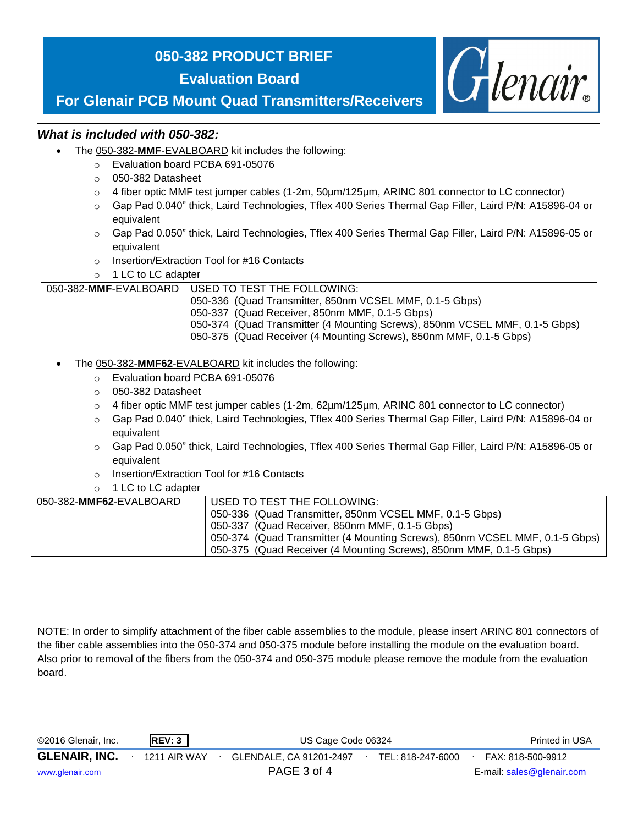# **050-382 PRODUCT BRIEF**

**Evaluation Board**



# **For Glenair PCB Mount Quad Transmitters/Receivers**

#### *What is included with 050-382:*

- The 050-382-**MMF**-EVALBOARD kit includes the following:
	- o Evaluation board PCBA 691-05076
	- o 050-382 Datasheet
	- $\circ$  4 fiber optic MMF test jumper cables (1-2m, 50 µm/125 µm, ARINC 801 connector to LC connector)
	- o Gap Pad 0.040" thick, Laird Technologies, Tflex 400 Series Thermal Gap Filler, Laird P/N: A15896-04 or equivalent
	- o Gap Pad 0.050" thick, Laird Technologies, Tflex 400 Series Thermal Gap Filler, Laird P/N: A15896-05 or equivalent
	- o Insertion/Extraction Tool for #16 Contacts
	- o 1 LC to LC adapter

| 050-382-MMF-EVALBOARD   USED TO TEST THE FOLLOWING:                          |
|------------------------------------------------------------------------------|
| 050-336 (Quad Transmitter, 850nm VCSEL MMF, 0.1-5 Gbps)                      |
| 050-337 (Quad Receiver, 850nm MMF, 0.1-5 Gbps)                               |
| 1050-374 (Quad Transmitter (4 Mounting Screws), 850nm VCSEL MMF, 0.1-5 Gbps) |
| 050-375 (Quad Receiver (4 Mounting Screws), 850nm MMF, 0.1-5 Gbps)           |

#### The 050-382-**MMF62**-EVALBOARD kit includes the following:

- o Evaluation board PCBA 691-05076
- o 050-382 Datasheet
- o 4 fiber optic MMF test jumper cables (1-2m, 62µm/125µm, ARINC 801 connector to LC connector)
- o Gap Pad 0.040" thick, Laird Technologies, Tflex 400 Series Thermal Gap Filler, Laird P/N: A15896-04 or equivalent
- o Gap Pad 0.050" thick, Laird Technologies, Tflex 400 Series Thermal Gap Filler, Laird P/N: A15896-05 or equivalent
- o Insertion/Extraction Tool for #16 Contacts
- o 1 LC to LC adapter

| 050-382-MMF62-EVALBOARD | USED TO TEST THE FOLLOWING:                                                 |
|-------------------------|-----------------------------------------------------------------------------|
|                         | 050-336 (Quad Transmitter, 850nm VCSEL MMF, 0.1-5 Gbps)                     |
|                         | 050-337 (Quad Receiver, 850nm MMF, 0.1-5 Gbps)                              |
|                         | 050-374 (Quad Transmitter (4 Mounting Screws), 850nm VCSEL MMF, 0.1-5 Gbps) |
|                         | 050-375 (Quad Receiver (4 Mounting Screws), 850nm MMF, 0.1-5 Gbps)          |

NOTE: In order to simplify attachment of the fiber cable assemblies to the module, please insert ARINC 801 connectors of the fiber cable assemblies into the 050-374 and 050-375 module before installing the module on the evaluation board. Also prior to removal of the fibers from the 050-374 and 050-375 module please remove the module from the evaluation board.